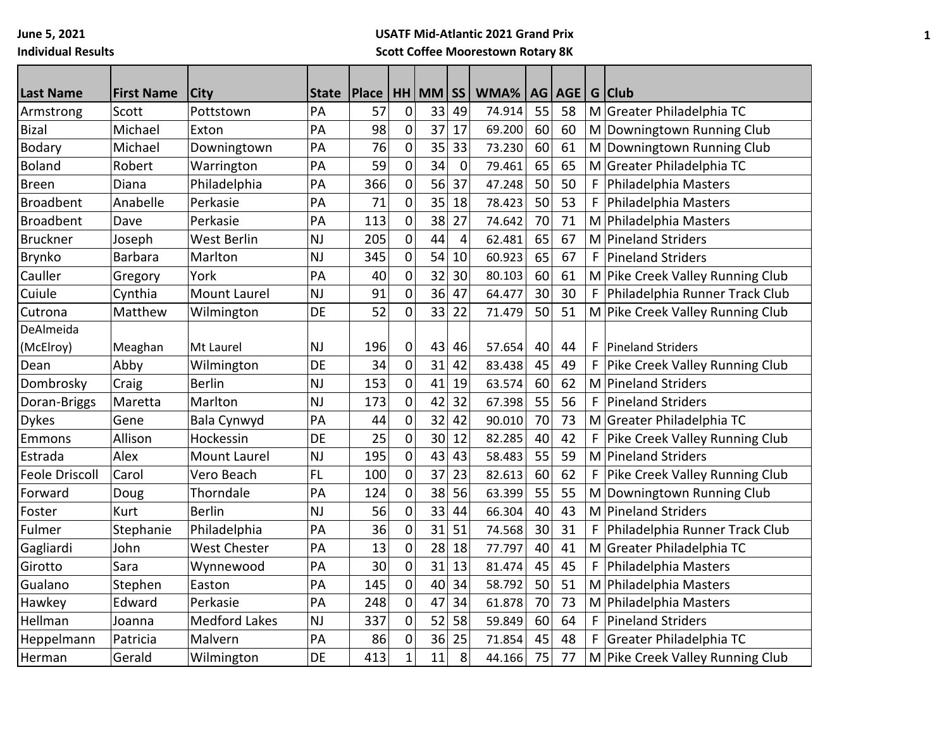## **USATF Mid-Atlantic 2021 Grand Prix Scott Coffee Moorestown Rotary 8K**

| <b>Last Name</b>      | <b>First Name</b> | <b>City</b>          | <b>State</b> | <b>Place</b> |              | HH MM | <b>SS</b>      | WMA%   | AG I | <b>AGE</b> |   | G Club                           |
|-----------------------|-------------------|----------------------|--------------|--------------|--------------|-------|----------------|--------|------|------------|---|----------------------------------|
| Armstrong             | Scott             | Pottstown            | PA           | 57           | $\mathbf 0$  | 33    | 49             | 74.914 | 55   | 58         |   | M Greater Philadelphia TC        |
| <b>Bizal</b>          | Michael           | Exton                | PA           | 98           | 0            | 37    | 17             | 69.200 | 60   | 60         |   | M Downingtown Running Club       |
| <b>Bodary</b>         | Michael           | Downingtown          | PA           | 76           | $\mathbf 0$  | 35    | 33             | 73.230 | 60   | 61         | M | Downingtown Running Club         |
| <b>Boland</b>         | Robert            | Warrington           | PA           | 59           | $\mathbf 0$  | 34    | $\mathbf 0$    | 79.461 | 65   | 65         | M | Greater Philadelphia TC          |
| <b>Breen</b>          | Diana             | Philadelphia         | PA           | 366          | 0            | 56    | 37             | 47.248 | 50   | 50         | F | Philadelphia Masters             |
| <b>Broadbent</b>      | Anabelle          | Perkasie             | PA           | 71           | 0            | 35    | 18             | 78.423 | 50   | 53         | F | Philadelphia Masters             |
| <b>Broadbent</b>      | Dave              | Perkasie             | PA           | 113          | 0            | 38    | 27             | 74.642 | 70   | 71         |   | M Philadelphia Masters           |
| <b>Bruckner</b>       | Joseph            | West Berlin          | <b>NJ</b>    | 205          | $\pmb{0}$    | 44    | $\overline{4}$ | 62.481 | 65   | 67         | M | <b>Pineland Striders</b>         |
| Brynko                | <b>Barbara</b>    | Marlton              | <b>NJ</b>    | 345          | $\pmb{0}$    | 54    | 10             | 60.923 | 65   | 67         | F | <b>Pineland Striders</b>         |
| Cauller               | Gregory           | York                 | PA           | 40           | $\mathbf 0$  | 32    | 30             | 80.103 | 60   | 61         |   | M Pike Creek Valley Running Club |
| Cuiule                | Cynthia           | <b>Mount Laurel</b>  | <b>NJ</b>    | 91           | 0            | 36    | 47             | 64.477 | 30   | 30         | F | Philadelphia Runner Track Club   |
| Cutrona               | Matthew           | Wilmington           | DE           | 52           | $\mathbf 0$  | 33    | 22             | 71.479 | 50   | 51         |   | M Pike Creek Valley Running Club |
| DeAlmeida             |                   |                      |              |              |              |       |                |        |      |            |   |                                  |
| (McElroy)             | Meaghan           | Mt Laurel            | <b>NJ</b>    | 196          | 0            | 43    | 46             | 57.654 | 40   | 44         | F | <b>Pineland Striders</b>         |
| Dean                  | Abby              | Wilmington           | DE           | 34           | 0            | 31    | 42             | 83.438 | 45   | 49         | F | Pike Creek Valley Running Club   |
| Dombrosky             | Craig             | <b>Berlin</b>        | <b>NJ</b>    | 153          | $\mathbf 0$  | 41    | 19             | 63.574 | 60   | 62         | M | <b>Pineland Striders</b>         |
| Doran-Briggs          | Maretta           | Marlton              | <b>NJ</b>    | 173          | $\pmb{0}$    | 42    | 32             | 67.398 | 55   | 56         | F | <b>Pineland Striders</b>         |
| <b>Dykes</b>          | Gene              | Bala Cynwyd          | PA           | 44           | 0            | 32    | 42             | 90.010 | 70   | 73         | M | Greater Philadelphia TC          |
| Emmons                | Allison           | Hockessin            | DE           | 25           | 0            | 30    | 12             | 82.285 | 40   | 42         | F | Pike Creek Valley Running Club   |
| Estrada               | Alex              | <b>Mount Laurel</b>  | <b>NJ</b>    | 195          | $\mathbf 0$  | 43    | 43             | 58.483 | 55   | 59         | M | <b>Pineland Striders</b>         |
| <b>Feole Driscoll</b> | Carol             | Vero Beach           | <b>FL</b>    | 100          | $\pmb{0}$    | 37    | 23             | 82.613 | 60   | 62         | F | Pike Creek Valley Running Club   |
| Forward               | Doug              | Thorndale            | PA           | 124          | $\mathbf 0$  | 38    | 56             | 63.399 | 55   | 55         | M | Downingtown Running Club         |
| Foster                | <b>Kurt</b>       | <b>Berlin</b>        | <b>NJ</b>    | 56           | $\mathbf 0$  | 33    | 44             | 66.304 | 40   | 43         | M | <b>Pineland Striders</b>         |
| Fulmer                | Stephanie         | Philadelphia         | PA           | 36           | $\mathbf 0$  | 31    | 51             | 74.568 | 30   | 31         | F | Philadelphia Runner Track Club   |
| Gagliardi             | John              | <b>West Chester</b>  | PA           | 13           | 0            | 28    | 18             | 77.797 | 40   | 41         | M | Greater Philadelphia TC          |
| Girotto               | Sara              | Wynnewood            | PA           | 30           | 0            | 31    | 13             | 81.474 | 45   | 45         | F | Philadelphia Masters             |
| Gualano               | Stephen           | Easton               | PA           | 145          | $\mathbf 0$  | 40    | 34             | 58.792 | 50   | 51         | M | Philadelphia Masters             |
| Hawkey                | Edward            | Perkasie             | PA           | 248          | $\pmb{0}$    | 47    | 34             | 61.878 | 70   | 73         |   | M Philadelphia Masters           |
| Hellman               | Joanna            | <b>Medford Lakes</b> | <b>NJ</b>    | 337          | $\pmb{0}$    | 52    | 58             | 59.849 | 60   | 64         | F | <b>Pineland Striders</b>         |
| Heppelmann            | Patricia          | Malvern              | PA           | 86           | 0            | 36    | 25             | 71.854 | 45   | 48         | F | Greater Philadelphia TC          |
| Herman                | Gerald            | Wilmington           | DE           | 413          | $\mathbf{1}$ | 11    | 8              | 44.166 | 75   | 77         |   | M Pike Creek Valley Running Club |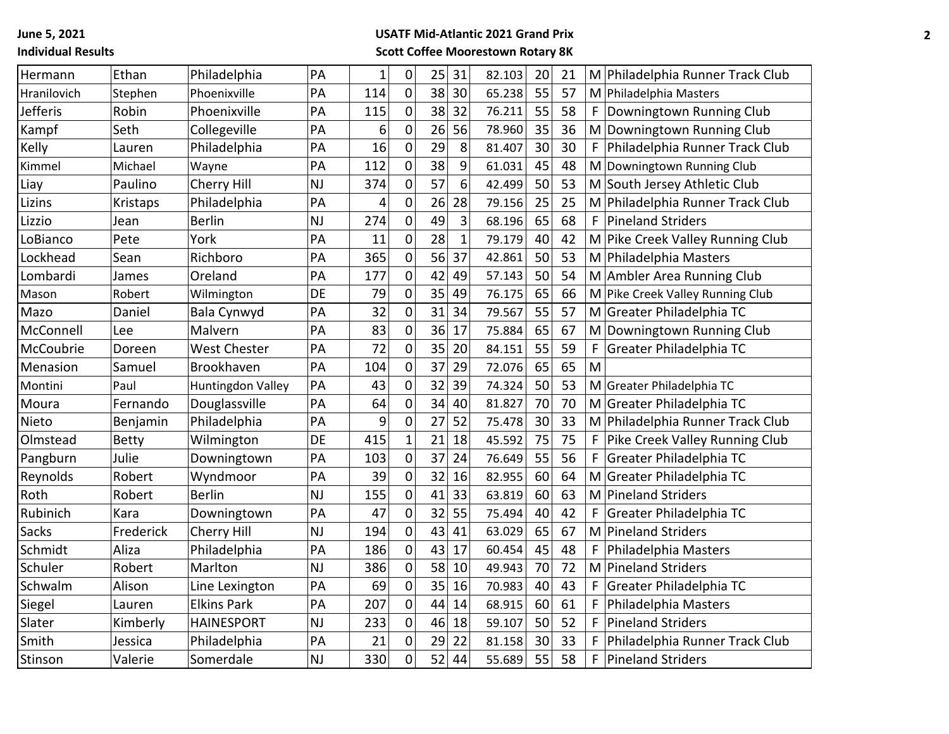**June 5, 2021 Individual Results**

## **USATF Mid-Atlantic 2021 Grand Prix Scott Coffee Moorestown Rotary 8K**

| Hermann         | Ethan        | Philadelphia        | PA        | $\overline{1}$ | $\boldsymbol{0}$ | 25 | 31           | 82.103 | 20 | 21 |   | M Philadelphia Runner Track Club |
|-----------------|--------------|---------------------|-----------|----------------|------------------|----|--------------|--------|----|----|---|----------------------------------|
| Hranilovich     | Stephen      | Phoenixville        | PA        | 114            | 0                | 38 | 30           | 65.238 | 55 | 57 |   | M Philadelphia Masters           |
| <b>Jefferis</b> | Robin        | Phoenixville        | PA        | 115            | $\pmb{0}$        | 38 | 32           | 76.211 | 55 | 58 | F | Downingtown Running Club         |
| Kampf           | Seth         | Collegeville        | PA        | 6              | $\mathbf 0$      | 26 | 56           | 78.960 | 35 | 36 | M | Downingtown Running Club         |
| Kelly           | Lauren       | Philadelphia        | PA        | 16             | 0                | 29 | 8            | 81.407 | 30 | 30 | F | Philadelphia Runner Track Club   |
| Kimmel          | Michael      | Wayne               | PA        | 112            | 0                | 38 | 9            | 61.031 | 45 | 48 |   | M Downingtown Running Club       |
| Liay            | Paulino      | Cherry Hill         | <b>NJ</b> | 374            | $\pmb{0}$        | 57 | 6            | 42.499 | 50 | 53 |   | M South Jersey Athletic Club     |
| Lizins          | Kristaps     | Philadelphia        | PA        | 4              | $\mathbf 0$      | 26 | 28           | 79.156 | 25 | 25 | M | Philadelphia Runner Track Club   |
| Lizzio          | Jean         | <b>Berlin</b>       | <b>NJ</b> | 274            | $\pmb{0}$        | 49 | 3            | 68.196 | 65 | 68 | F | <b>Pineland Striders</b>         |
| LoBianco        | Pete         | York                | PA        | 11             | $\pmb{0}$        | 28 | $\mathbf{1}$ | 79.179 | 40 | 42 |   | M Pike Creek Valley Running Club |
| Lockhead        | Sean         | Richboro            | PA        | 365            | $\pmb{0}$        | 56 | 37           | 42.861 | 50 | 53 | M | Philadelphia Masters             |
| Lombardi        | James        | Oreland             | PA        | 177            | $\pmb{0}$        | 42 | 49           | 57.143 | 50 | 54 |   | M Ambler Area Running Club       |
| Mason           | Robert       | Wilmington          | DE        | 79             | $\pmb{0}$        | 35 | 49           | 76.175 | 65 | 66 |   | M Pike Creek Valley Running Club |
| Mazo            | Daniel       | Bala Cynwyd         | PA        | 32             | $\pmb{0}$        | 31 | 34           | 79.567 | 55 | 57 |   | M Greater Philadelphia TC        |
| McConnell       | Lee          | Malvern             | PA        | 83             | 0                | 36 | 17           | 75.884 | 65 | 67 |   | M Downingtown Running Club       |
| McCoubrie       | Doreen       | <b>West Chester</b> | PA        | 72             | $\pmb{0}$        | 35 | 20           | 84.151 | 55 | 59 | F | Greater Philadelphia TC          |
| Menasion        | Samuel       | Brookhaven          | PA        | 104            | 0                | 37 | 29           | 72.076 | 65 | 65 | M |                                  |
| Montini         | Paul         | Huntingdon Valley   | PA        | 43             | $\pmb{0}$        | 32 | 39           | 74.324 | 50 | 53 |   | M Greater Philadelphia TC        |
| Moura           | Fernando     | Douglassville       | PA        | 64             | 0                | 34 | 40           | 81.827 | 70 | 70 | M | Greater Philadelphia TC          |
| Nieto           | Benjamin     | Philadelphia        | PA        | 9              | 0                | 27 | 52           | 75.478 | 30 | 33 |   | M Philadelphia Runner Track Club |
| Olmstead        | <b>Betty</b> | Wilmington          | DE        | 415            | 1                | 21 | 18           | 45.592 | 75 | 75 | F | Pike Creek Valley Running Club   |
| Pangburn        | Julie        | Downingtown         | PA        | 103            | $\pmb{0}$        | 37 | 24           | 76.649 | 55 | 56 | F | Greater Philadelphia TC          |
| Reynolds        | Robert       | Wyndmoor            | PA        | 39             | $\mathbf 0$      | 32 | 16           | 82.955 | 60 | 64 |   | M Greater Philadelphia TC        |
| Roth            | Robert       | <b>Berlin</b>       | <b>NJ</b> | 155            | 0                | 41 | 33           | 63.819 | 60 | 63 | M | Pineland Striders                |
| Rubinich        | Kara         | Downingtown         | PA        | 47             | $\mathbf 0$      | 32 | 55           | 75.494 | 40 | 42 | F | Greater Philadelphia TC          |
| <b>Sacks</b>    | Frederick    | Cherry Hill         | <b>NJ</b> | 194            | $\pmb{0}$        | 43 | 41           | 63.029 | 65 | 67 |   | M Pineland Striders              |
| Schmidt         | Aliza        | Philadelphia        | PA        | 186            | $\mathbf 0$      | 43 | 17           | 60.454 | 45 | 48 | F | Philadelphia Masters             |
| Schuler         | Robert       | Marlton             | <b>NJ</b> | 386            | $\pmb{0}$        | 58 | 10           | 49.943 | 70 | 72 | M | <b>Pineland Striders</b>         |
| Schwalm         | Alison       | Line Lexington      | PA        | 69             | $\pmb{0}$        | 35 | 16           | 70.983 | 40 | 43 | F | Greater Philadelphia TC          |
| Siegel          | Lauren       | <b>Elkins Park</b>  | PA        | 207            | $\pmb{0}$        | 44 | 14           | 68.915 | 60 | 61 | F | Philadelphia Masters             |
| Slater          | Kimberly     | <b>HAINESPORT</b>   | <b>NJ</b> | 233            | $\mathbf 0$      | 46 | 18           | 59.107 | 50 | 52 | F | <b>Pineland Striders</b>         |
| Smith           | Jessica      | Philadelphia        | PA        | 21             | $\pmb{0}$        | 29 | 22           | 81.158 | 30 | 33 | F | Philadelphia Runner Track Club   |
| Stinson         | Valerie      | Somerdale           | <b>NJ</b> | 330            | 0                | 52 | 44           | 55.689 | 55 | 58 | F | Pineland Striders                |
|                 |              |                     |           |                |                  |    |              |        |    |    |   |                                  |